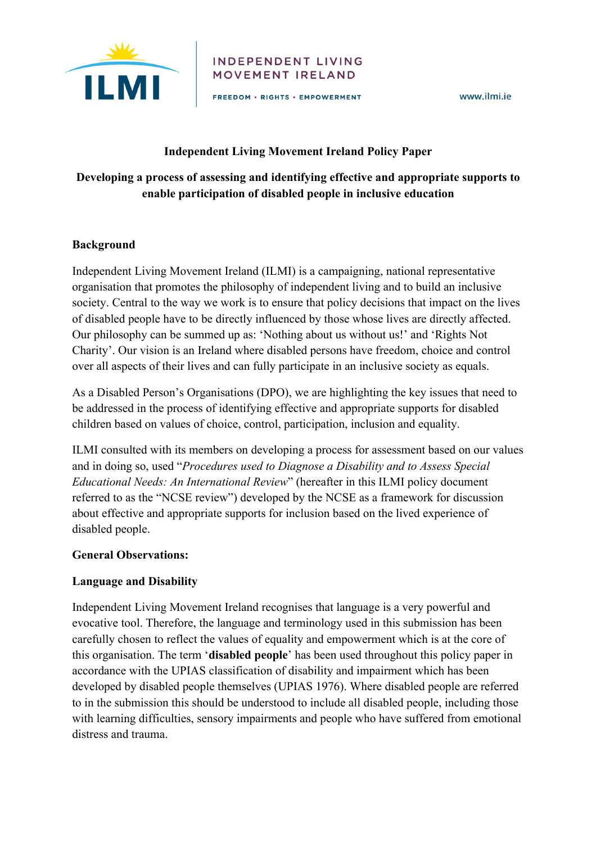

#### **INDEPENDENT LIVING** MOVEMENT IRELAND

FREEDOM . RIGHTS . EMPOWERMENT

www.ilmi.ie

### **Independent Living Movement Ireland Policy Paper**

## **Developing a process of assessing and identifying effective and appropriate supports to enable participation of disabled people in inclusive education**

### **Background**

Independent Living Movement Ireland (ILMI) is a campaigning, national representative organisation that promotes the philosophy of independent living and to build an inclusive society. Central to the way we work is to ensure that policy decisions that impact on the lives of disabled people have to be directly influenced by those whose lives are directly affected. Our philosophy can be summed up as: 'Nothing about us without us!' and 'Rights Not Charity'. Our vision is an Ireland where disabled persons have freedom, choice and control over all aspects of their lives and can fully participate in an inclusive society as equals.

As a Disabled Person's Organisations (DPO), we are highlighting the key issues that need to be addressed in the process of identifying effective and appropriate supports for disabled children based on values of choice, control, participation, inclusion and equality.

ILMI consulted with its members on developing a process for assessment based on our values and in doing so, used "*Procedures used to Diagnose a Disability and to Assess Special Educational Needs: An International Review*" (hereafter in this ILMI policy document referred to as the "NCSE review") developed by the NCSE as a framework for discussion about effective and appropriate supports for inclusion based on the lived experience of disabled people.

### **General Observations:**

### **Language and Disability**

Independent Living Movement Ireland recognises that language is a very powerful and evocative tool. Therefore, the language and terminology used in this submission has been carefully chosen to reflect the values of equality and empowerment which is at the core of this organisation. The term '**disabled people**' has been used throughout this policy paper in accordance with the UPIAS classification of disability and impairment which has been developed by disabled people themselves (UPIAS 1976). Where disabled people are referred to in the submission this should be understood to include all disabled people, including those with learning difficulties, sensory impairments and people who have suffered from emotional distress and trauma.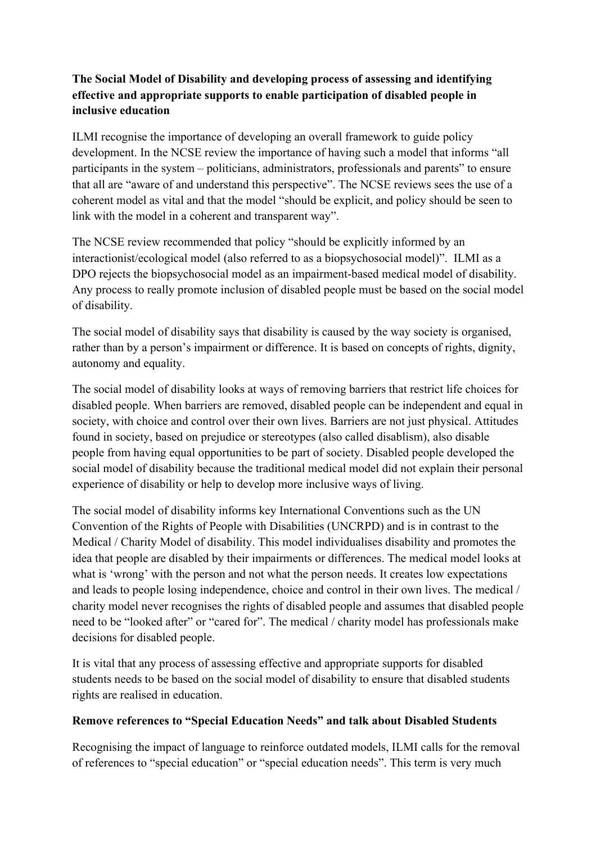## **The Social Model of Disability and developing process of assessing and identifying effective and appropriate supports to enable participation of disabled people in inclusive education**

ILMI recognise the importance of developing an overall framework to guide policy development. In the NCSE review the importance of having such a model that informs "all participants in the system – politicians, administrators, professionals and parents" to ensure that all are "aware of and understand this perspective". The NCSE reviews sees the use of a coherent model as vital and that the model "should be explicit, and policy should be seen to link with the model in a coherent and transparent way".

The NCSE review recommended that policy "should be explicitly informed by an interactionist/ecological model (also referred to as a biopsychosocial model)". ILMI as a DPO rejects the biopsychosocial model as an impairment-based medical model of disability. Any process to really promote inclusion of disabled people must be based on the social model of disability.

The social model of disability says that disability is caused by the way society is organised, rather than by a person's impairment or difference. It is based on concepts of rights, dignity, autonomy and equality.

The social model of disability looks at ways of removing barriers that restrict life choices for disabled people. When barriers are removed, disabled people can be independent and equal in society, with choice and control over their own lives. Barriers are not just physical. Attitudes found in society, based on prejudice or stereotypes (also called disablism), also disable people from having equal opportunities to be part of society. Disabled people developed the social model of disability because the traditional medical model did not explain their personal experience of disability or help to develop more inclusive ways of living.

The social model of disability informs key International Conventions such as the UN Convention of the Rights of People with Disabilities (UNCRPD) and is in contrast to the Medical / Charity Model of disability. This model individualises disability and promotes the idea that people are disabled by their impairments or differences. The medical model looks at what is 'wrong' with the person and not what the person needs. It creates low expectations and leads to people losing independence, choice and control in their own lives. The medical / charity model never recognises the rights of disabled people and assumes that disabled people need to be "looked after" or "cared for". The medical / charity model has professionals make decisions for disabled people.

It is vital that any process of assessing effective and appropriate supports for disabled students needs to be based on the social model of disability to ensure that disabled students rights are realised in education.

### **Remove references to "Special Education Needs" and talk about Disabled Students**

Recognising the impact of language to reinforce outdated models, ILMI calls for the removal of references to "special education" or "special education needs". This term is very much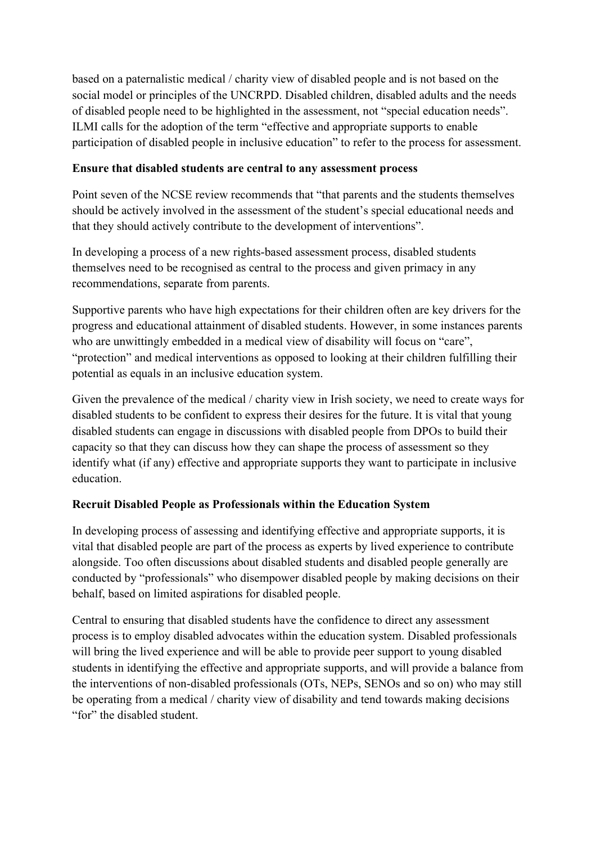based on a paternalistic medical / charity view of disabled people and is not based on the social model or principles of the UNCRPD. Disabled children, disabled adults and the needs of disabled people need to be highlighted in the assessment, not "special education needs". ILMI calls for the adoption of the term "effective and appropriate supports to enable participation of disabled people in inclusive education" to refer to the process for assessment.

### **Ensure that disabled students are central to any assessment process**

Point seven of the NCSE review recommends that "that parents and the students themselves should be actively involved in the assessment of the student's special educational needs and that they should actively contribute to the development of interventions".

In developing a process of a new rights-based assessment process, disabled students themselves need to be recognised as central to the process and given primacy in any recommendations, separate from parents.

Supportive parents who have high expectations for their children often are key drivers for the progress and educational attainment of disabled students. However, in some instances parents who are unwittingly embedded in a medical view of disability will focus on "care", "protection" and medical interventions as opposed to looking at their children fulfilling their potential as equals in an inclusive education system.

Given the prevalence of the medical / charity view in Irish society, we need to create ways for disabled students to be confident to express their desires for the future. It is vital that young disabled students can engage in discussions with disabled people from DPOs to build their capacity so that they can discuss how they can shape the process of assessment so they identify what (if any) effective and appropriate supports they want to participate in inclusive education.

### **Recruit Disabled People as Professionals within the Education System**

In developing process of assessing and identifying effective and appropriate supports, it is vital that disabled people are part of the process as experts by lived experience to contribute alongside. Too often discussions about disabled students and disabled people generally are conducted by "professionals" who disempower disabled people by making decisions on their behalf, based on limited aspirations for disabled people.

Central to ensuring that disabled students have the confidence to direct any assessment process is to employ disabled advocates within the education system. Disabled professionals will bring the lived experience and will be able to provide peer support to young disabled students in identifying the effective and appropriate supports, and will provide a balance from the interventions of non-disabled professionals (OTs, NEPs, SENOs and so on) who may still be operating from a medical / charity view of disability and tend towards making decisions "for" the disabled student.